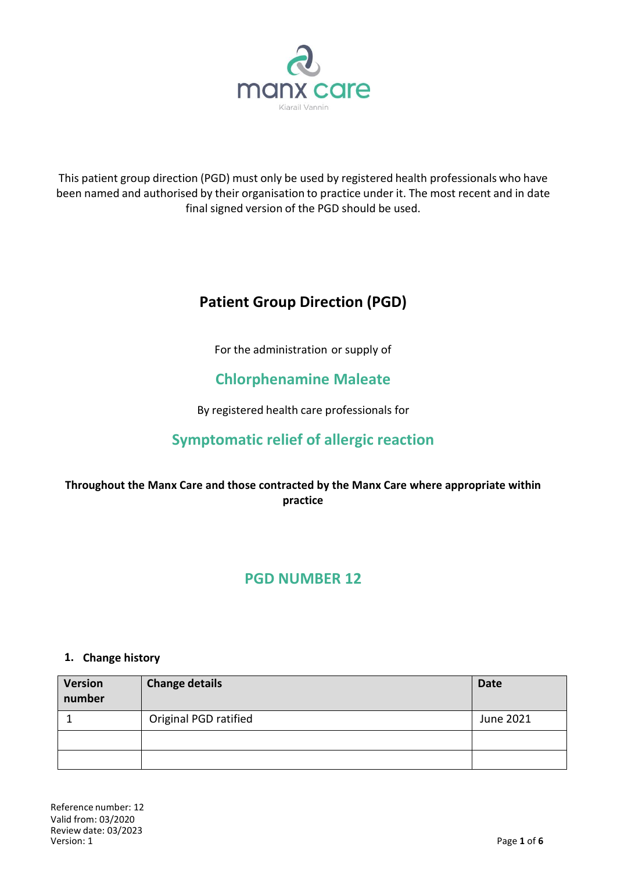

This patient group direction (PGD) must only be used by registered health professionals who have been named and authorised by their organisation to practice under it. The most recent and in date final signed version of the PGD should be used.

# **Patient Group Direction (PGD)**

For the administration or supply of

# **Chlorphenamine Maleate**

By registered health care professionals for

# **Symptomatic relief of allergic reaction**

## **Throughout the Manx Care and those contracted by the Manx Care where appropriate within practice**

# **PGD NUMBER 12**

#### **1. Change history**

| <b>Version</b><br>number | <b>Change details</b> | <b>Date</b> |
|--------------------------|-----------------------|-------------|
|                          | Original PGD ratified | June 2021   |
|                          |                       |             |
|                          |                       |             |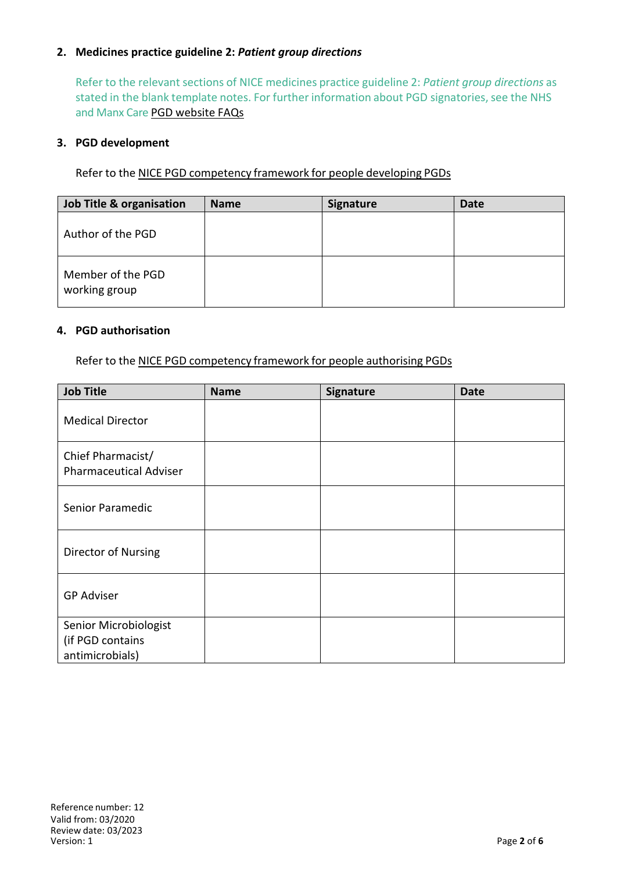### **2. Medicines practice guideline 2:** *Patient group directions*

Refer to the relevant sections of NICE medicines practice guideline 2: *Patient group directions* as stated in the blank template notes. For further information about PGD signatories, see the NHS and Manx Care PGD website FAQs

#### **3. PGD development**

Refer to the NICE PGD competency framework for people developing PGDs

| Job Title & organisation           | <b>Name</b> | <b>Signature</b> | <b>Date</b> |
|------------------------------------|-------------|------------------|-------------|
| Author of the PGD                  |             |                  |             |
| Member of the PGD<br>working group |             |                  |             |

#### **4. PGD authorisation**

Refer to the NICE PGD competency framework for people authorising PGDs

| <b>Job Title</b>                                             | <b>Name</b> | Signature | <b>Date</b> |
|--------------------------------------------------------------|-------------|-----------|-------------|
| <b>Medical Director</b>                                      |             |           |             |
| Chief Pharmacist/<br><b>Pharmaceutical Adviser</b>           |             |           |             |
| Senior Paramedic                                             |             |           |             |
| Director of Nursing                                          |             |           |             |
| <b>GP Adviser</b>                                            |             |           |             |
| Senior Microbiologist<br>(if PGD contains<br>antimicrobials) |             |           |             |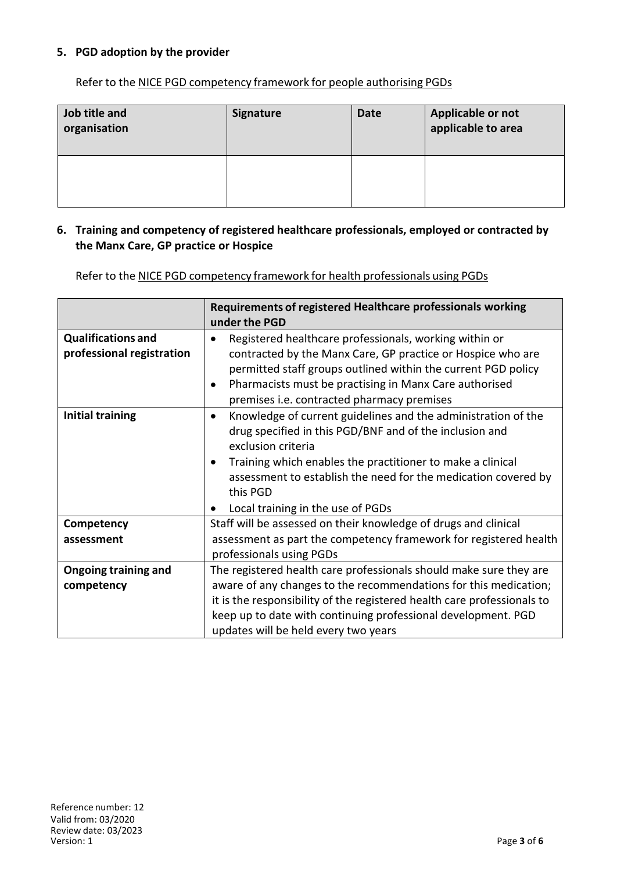### **5. PGD adoption by the provider**

Refer to the NICE PGD competency framework for people authorising PGDs

| Job title and<br>organisation | <b>Signature</b> | <b>Date</b> | Applicable or not<br>applicable to area |
|-------------------------------|------------------|-------------|-----------------------------------------|
|                               |                  |             |                                         |

#### **6. Training and competency of registered healthcare professionals, employed or contracted by the Manx Care, GP practice or Hospice**

Refer to the NICE PGD competency framework for health professionals using PGDs

|                                                        | Requirements of registered Healthcare professionals working<br>under the PGD                                                                                                                                                                                                                                                                 |
|--------------------------------------------------------|----------------------------------------------------------------------------------------------------------------------------------------------------------------------------------------------------------------------------------------------------------------------------------------------------------------------------------------------|
| <b>Qualifications and</b><br>professional registration | Registered healthcare professionals, working within or<br>contracted by the Manx Care, GP practice or Hospice who are<br>permitted staff groups outlined within the current PGD policy<br>Pharmacists must be practising in Manx Care authorised<br>premises i.e. contracted pharmacy premises                                               |
| <b>Initial training</b>                                | Knowledge of current guidelines and the administration of the<br>$\bullet$<br>drug specified in this PGD/BNF and of the inclusion and<br>exclusion criteria<br>Training which enables the practitioner to make a clinical<br>assessment to establish the need for the medication covered by<br>this PGD<br>Local training in the use of PGDs |
| Competency                                             | Staff will be assessed on their knowledge of drugs and clinical                                                                                                                                                                                                                                                                              |
| assessment                                             | assessment as part the competency framework for registered health<br>professionals using PGDs                                                                                                                                                                                                                                                |
| <b>Ongoing training and</b>                            | The registered health care professionals should make sure they are                                                                                                                                                                                                                                                                           |
| competency                                             | aware of any changes to the recommendations for this medication;                                                                                                                                                                                                                                                                             |
|                                                        | it is the responsibility of the registered health care professionals to                                                                                                                                                                                                                                                                      |
|                                                        | keep up to date with continuing professional development. PGD                                                                                                                                                                                                                                                                                |
|                                                        | updates will be held every two years                                                                                                                                                                                                                                                                                                         |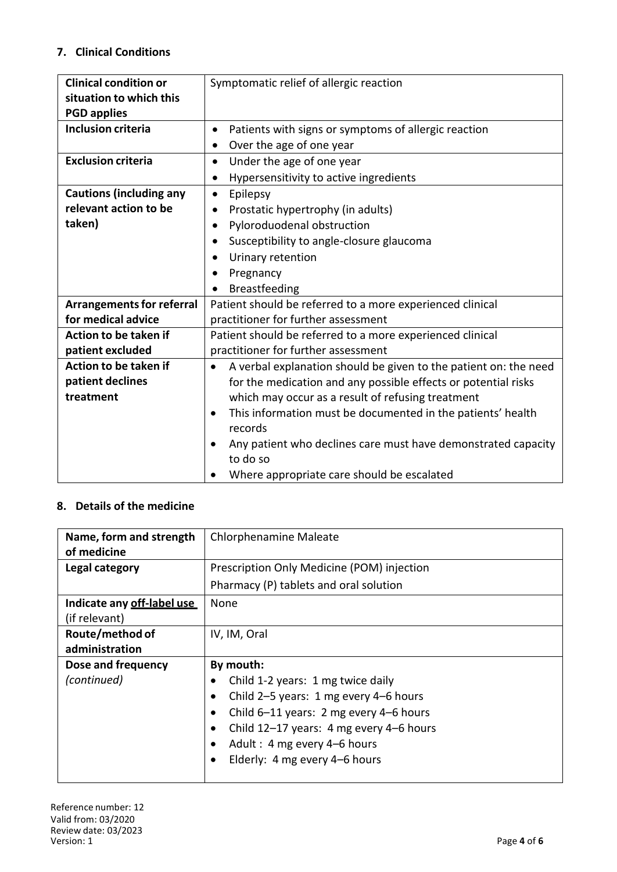## **7. Clinical Conditions**

| <b>Clinical condition or</b>     | Symptomatic relief of allergic reaction                                     |
|----------------------------------|-----------------------------------------------------------------------------|
| situation to which this          |                                                                             |
| <b>PGD applies</b>               |                                                                             |
| <b>Inclusion criteria</b>        | Patients with signs or symptoms of allergic reaction<br>٠                   |
|                                  | Over the age of one year<br>$\bullet$                                       |
| <b>Exclusion criteria</b>        | Under the age of one year<br>$\bullet$                                      |
|                                  | Hypersensitivity to active ingredients                                      |
| <b>Cautions (including any</b>   | Epilepsy<br>$\bullet$                                                       |
| relevant action to be            | Prostatic hypertrophy (in adults)<br>$\bullet$                              |
| taken)                           | Pyloroduodenal obstruction<br>$\bullet$                                     |
|                                  | Susceptibility to angle-closure glaucoma<br>$\bullet$                       |
|                                  | Urinary retention<br>$\bullet$                                              |
|                                  | Pregnancy                                                                   |
|                                  | <b>Breastfeeding</b><br>$\bullet$                                           |
| <b>Arrangements for referral</b> | Patient should be referred to a more experienced clinical                   |
| for medical advice               | practitioner for further assessment                                         |
| Action to be taken if            | Patient should be referred to a more experienced clinical                   |
| patient excluded                 | practitioner for further assessment                                         |
| Action to be taken if            | A verbal explanation should be given to the patient on: the need            |
| patient declines                 | for the medication and any possible effects or potential risks              |
| treatment                        | which may occur as a result of refusing treatment                           |
|                                  | This information must be documented in the patients' health<br>٠<br>records |
|                                  | Any patient who declines care must have demonstrated capacity<br>to do so   |
|                                  | Where appropriate care should be escalated                                  |

## **8. Details of the medicine**

| Name, form and strength<br>of medicine | <b>Chlorphenamine Maleate</b>                       |  |
|----------------------------------------|-----------------------------------------------------|--|
| Legal category                         | Prescription Only Medicine (POM) injection          |  |
|                                        | Pharmacy (P) tablets and oral solution              |  |
| Indicate any off-label use             | <b>None</b>                                         |  |
| (if relevant)                          |                                                     |  |
| Route/method of                        | IV, IM, Oral                                        |  |
| administration                         |                                                     |  |
| Dose and frequency                     | By mouth:                                           |  |
| (continued)                            | Child 1-2 years: 1 mg twice daily                   |  |
|                                        | Child 2-5 years: 1 mg every 4-6 hours               |  |
|                                        | Child 6-11 years: 2 mg every 4-6 hours<br>$\bullet$ |  |
|                                        | Child 12-17 years: 4 mg every 4-6 hours             |  |
|                                        | Adult: 4 mg every 4–6 hours                         |  |
|                                        | Elderly: 4 mg every 4–6 hours<br>$\bullet$          |  |
|                                        |                                                     |  |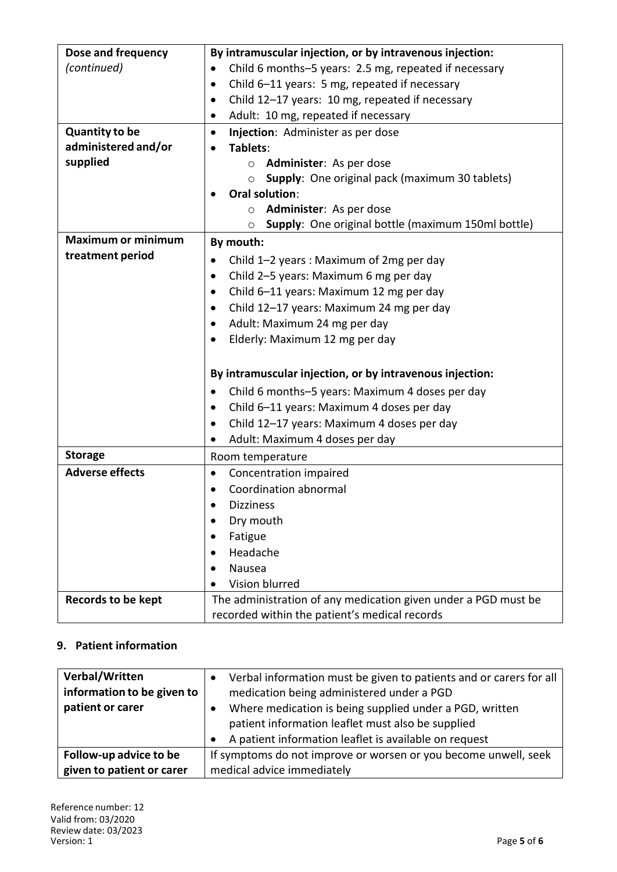| Dose and frequency        | By intramuscular injection, or by intravenous injection:         |  |  |
|---------------------------|------------------------------------------------------------------|--|--|
| (continued)               | Child 6 months-5 years: 2.5 mg, repeated if necessary            |  |  |
|                           | Child 6-11 years: 5 mg, repeated if necessary<br>$\bullet$       |  |  |
|                           | Child 12-17 years: 10 mg, repeated if necessary<br>$\bullet$     |  |  |
|                           | Adult: 10 mg, repeated if necessary<br>٠                         |  |  |
| <b>Quantity to be</b>     | Injection: Administer as per dose<br>$\bullet$                   |  |  |
| administered and/or       | Tablets:                                                         |  |  |
| supplied                  | <b>Administer</b> : As per dose<br>$\circ$                       |  |  |
|                           | <b>Supply:</b> One original pack (maximum 30 tablets)<br>$\circ$ |  |  |
|                           | Oral solution:                                                   |  |  |
|                           | Administer: As per dose<br>O                                     |  |  |
|                           | Supply: One original bottle (maximum 150ml bottle)<br>$\circ$    |  |  |
| <b>Maximum or minimum</b> | By mouth:                                                        |  |  |
| treatment period          | Child 1-2 years: Maximum of 2mg per day                          |  |  |
|                           | Child 2-5 years: Maximum 6 mg per day<br>$\bullet$               |  |  |
|                           | Child 6-11 years: Maximum 12 mg per day<br>$\bullet$             |  |  |
|                           | Child 12-17 years: Maximum 24 mg per day                         |  |  |
|                           | Adult: Maximum 24 mg per day<br>٠                                |  |  |
|                           | Elderly: Maximum 12 mg per day                                   |  |  |
|                           |                                                                  |  |  |
|                           | By intramuscular injection, or by intravenous injection:         |  |  |
|                           | Child 6 months-5 years: Maximum 4 doses per day<br>$\bullet$     |  |  |
|                           | Child 6-11 years: Maximum 4 doses per day<br>$\bullet$           |  |  |
|                           | Child 12-17 years: Maximum 4 doses per day<br>٠                  |  |  |
|                           | Adult: Maximum 4 doses per day                                   |  |  |
| <b>Storage</b>            | Room temperature                                                 |  |  |
| <b>Adverse effects</b>    | Concentration impaired<br>٠                                      |  |  |
|                           | Coordination abnormal                                            |  |  |
|                           | Dizziness                                                        |  |  |
|                           | Dry mouth                                                        |  |  |
|                           | Fatigue                                                          |  |  |
|                           | Headache                                                         |  |  |
|                           | Nausea                                                           |  |  |
|                           | Vision blurred                                                   |  |  |
| <b>Records to be kept</b> | The administration of any medication given under a PGD must be   |  |  |
|                           | recorded within the patient's medical records                    |  |  |

# **9. Patient information**

| Verbal/Written<br>information to be given to<br>patient or carer | Verbal information must be given to patients and or carers for all<br>medication being administered under a PGD<br>Where medication is being supplied under a PGD, written<br>patient information leaflet must also be supplied<br>A patient information leaflet is available on request |  |
|------------------------------------------------------------------|------------------------------------------------------------------------------------------------------------------------------------------------------------------------------------------------------------------------------------------------------------------------------------------|--|
| Follow-up advice to be                                           | If symptoms do not improve or worsen or you become unwell, seek                                                                                                                                                                                                                          |  |
| given to patient or carer<br>medical advice immediately          |                                                                                                                                                                                                                                                                                          |  |